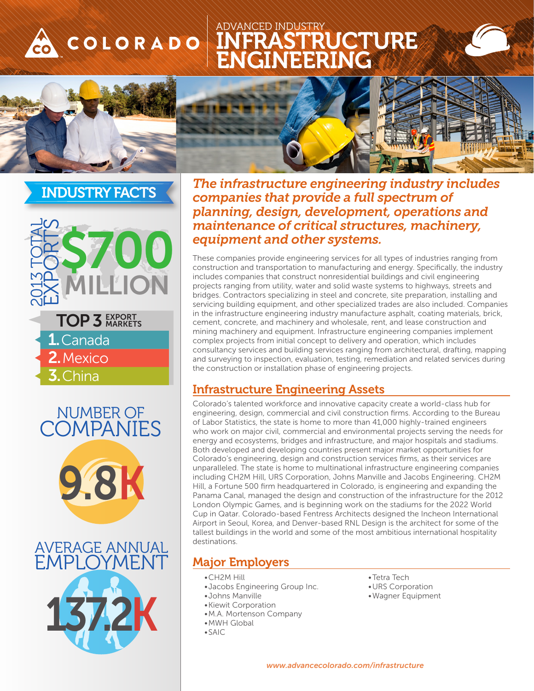COLORADO

# ADVANCED INDUSTRY INFRASTRUCTURE ENGINEERING





## INDUSTRY FACTS









*The infrastructure engineering industry includes companies that provide a full spectrum of planning, design, development, operations and maintenance of critical structures, machinery, equipment and other systems.*

These companies provide engineering services for all types of industries ranging from construction and transportation to manufacturing and energy. Specifically, the industry includes companies that construct nonresidential buildings and civil engineering projects ranging from utility, water and solid waste systems to highways, streets and bridges. Contractors specializing in steel and concrete, site preparation, installing and servicing building equipment, and other specialized trades are also included. Companies in the infrastructure engineering industry manufacture asphalt, coating materials, brick, cement, concrete, and machinery and wholesale, rent, and lease construction and mining machinery and equipment. Infrastructure engineering companies implement complex projects from initial concept to delivery and operation, which includes consultancy services and building services ranging from architectural, drafting, mapping and surveying to inspection, evaluation, testing, remediation and related services during the construction or installation phase of engineering projects.

### Infrastructure Engineering Assets

Colorado's talented workforce and innovative capacity create a world-class hub for engineering, design, commercial and civil construction firms. According to the Bureau of Labor Statistics, the state is home to more than 41,000 highly-trained engineers who work on major civil, commercial and environmental projects serving the needs for energy and ecosystems, bridges and infrastructure, and major hospitals and stadiums. Both developed and developing countries present major market opportunities for Colorado's engineering, design and construction services firms, as their services are unparalleled. The state is home to multinational infrastructure engineering companies including CH2M Hill, URS Corporation, Johns Manville and Jacobs Engineering. CH2M Hill, a Fortune 500 firm headquartered in Colorado, is engineering and expanding the Panama Canal, managed the design and construction of the infrastructure for the 2012 London Olympic Games, and is beginning work on the stadiums for the 2022 World Cup in Qatar. Colorado-based Fentress Architects designed the Incheon International Airport in Seoul, Korea, and Denver-based RNL Design is the architect for some of the tallest buildings in the world and some of the most ambitious international hospitality destinations.

## Major Employers

- •CH2M Hill
- •Jacobs Engineering Group Inc.
- •Johns Manville
- •Kiewit Corporation
- •M.A. Mortenson Company
- •MWH Global
- •SAIC
- •Tetra Tech
- •URS Corporation
- •Wagner Equipment